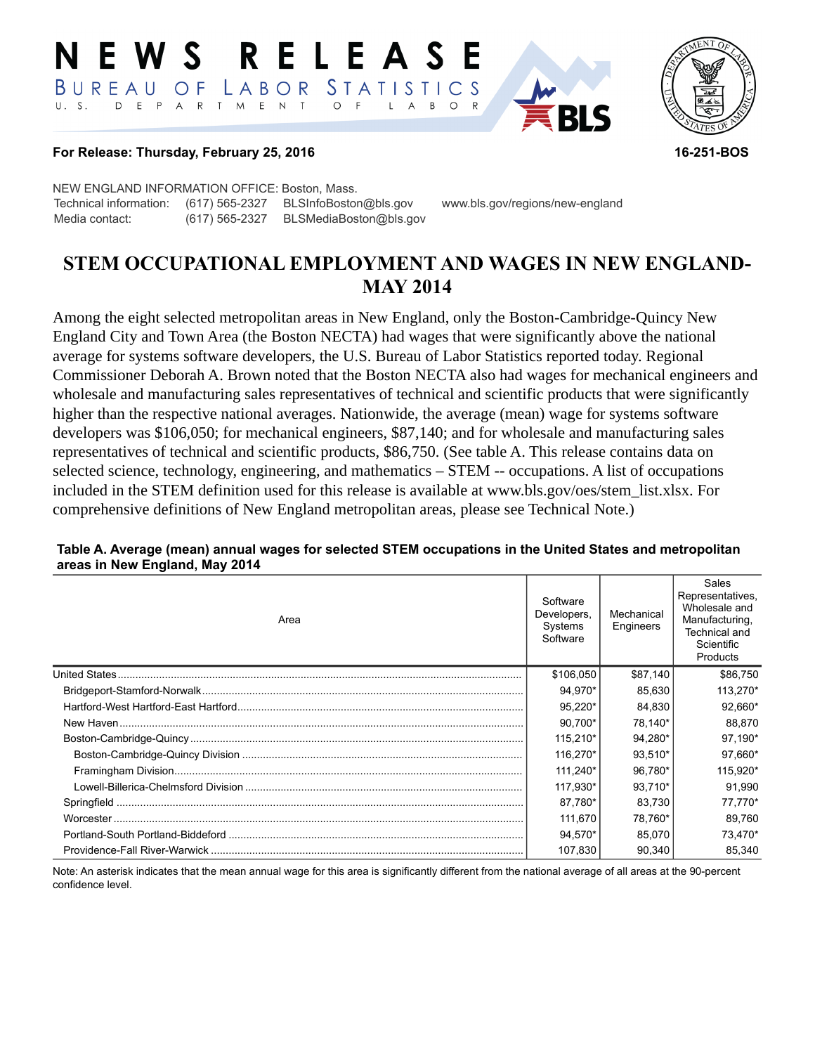#### RELEASE NEWS STATISTICS BUREAU LABOR O F D E P T M E N T  $\circ$  $U. S.$  $A \R$  $\overline{F}$  $\mathsf{L}$  $\overline{A}$ B  $\circ$



#### **For Release: Thursday, February 25, 2016 16-251-BOS**

NEW ENGLAND INFORMATION OFFICE: Boston, Mass. Technical information: (617) 565-2327 BLSInfoBoston@bls.gov www.bls.gov/regions/new-england Media contact: (617) 565-2327 BLSMediaBoston@bls.gov

# **STEM OCCUPATIONAL EMPLOYMENT AND WAGES IN NEW ENGLAND-MAY 2014**

Among the eight selected metropolitan areas in New England, only the Boston-Cambridge-Quincy New England City and Town Area (the Boston NECTA) had wages that were significantly above the national average for systems software developers, the U.S. Bureau of Labor Statistics reported today. Regional Commissioner Deborah A. Brown noted that the Boston NECTA also had wages for mechanical engineers and wholesale and manufacturing sales representatives of technical and scientific products that were significantly higher than the respective national averages. Nationwide, the average (mean) wage for systems software developers was \$106,050; for mechanical engineers, \$87,140; and for wholesale and manufacturing sales representatives of technical and scientific products, \$86,750. (See table A. This release contains data on selected science, technology, engineering, and mathematics – STEM -- occupations. A list of occupations included in the STEM definition used for this release is available at www.bls.gov/oes/stem\_list.xlsx. For comprehensive definitions of New England metropolitan areas, please see Technical Note.)

#### Area **Software** Developers, **Systems Software** Mechanical Engineers Sales Representatives, Wholesale and Manufacturing, Technical and **Scientific Products** United States......................................................................................................................................... \$106,050 \$87,140 \$86,750 Bridgeport-Stamford-Norwalk............................................................................................................. 94,970\* 85,630 113,270\* Hartford-West Hartford-East Hartford................................................................................................. 95,220\* 84,830 92,660\* New Haven......................................................................................................................................... 90,700\* 78,140\* 88,870 Boston-Cambridge-Quincy ................................................................................................................. 115,210\* 94,280\* 97,190\* Boston-Cambridge-Quincy Division ............................................................................................... 116,270\* 93,510\* 97,660\* Framingham Division...................................................................................................................... 111,240\* 96,780\* 115,920\* Lowell-Billerica-Chelmsford Division .............................................................................................. 117,930\* 93,710\* 91,990 Springfield .......................................................................................................................................... 87,780\* 83,730 77,770\* Worcester ........................................................................................................................................... 111,670 78,760\* 89,760 Portland-South Portland-Biddeford .................................................................................................... 94,570\* 85,070 73,470\* Providence-Fall River-Warwick .......................................................................................................... 107,830 90,340 85,340

#### **Table A. Average (mean) annual wages for selected STEM occupations in the United States and metropolitan areas in New England, May 2014**

Note: An asterisk indicates that the mean annual wage for this area is significantly different from the national average of all areas at the 90-percent confidence level.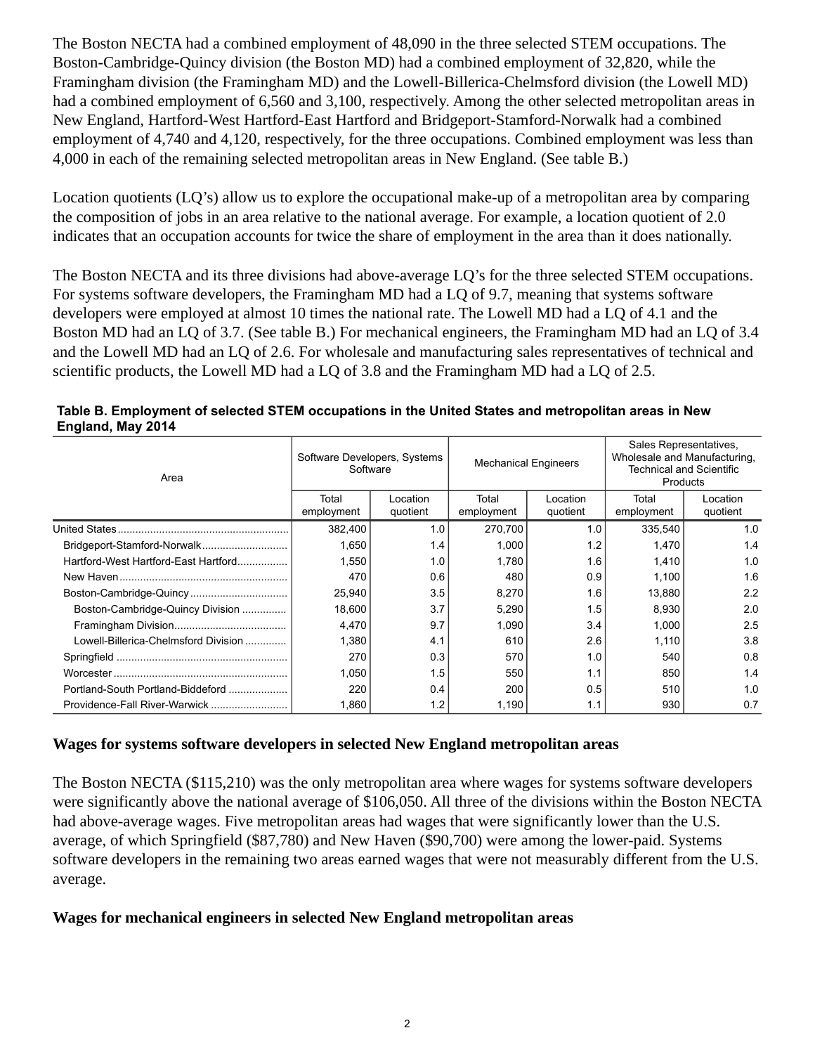The Boston NECTA had a combined employment of 48,090 in the three selected STEM occupations. The Boston-Cambridge-Quincy division (the Boston MD) had a combined employment of 32,820, while the Framingham division (the Framingham MD) and the Lowell-Billerica-Chelmsford division (the Lowell MD) had a combined employment of 6,560 and 3,100, respectively. Among the other selected metropolitan areas in New England, Hartford-West Hartford-East Hartford and Bridgeport-Stamford-Norwalk had a combined employment of 4,740 and 4,120, respectively, for the three occupations. Combined employment was less than 4,000 in each of the remaining selected metropolitan areas in New England. (See table B.)

Location quotients (LQ's) allow us to explore the occupational make-up of a metropolitan area by comparing the composition of jobs in an area relative to the national average. For example, a location quotient of 2.0 indicates that an occupation accounts for twice the share of employment in the area than it does nationally.

The Boston NECTA and its three divisions had above-average LQ's for the three selected STEM occupations. For systems software developers, the Framingham MD had a LQ of 9.7, meaning that systems software developers were employed at almost 10 times the national rate. The Lowell MD had a LQ of 4.1 and the Boston MD had an LQ of 3.7. (See table B.) For mechanical engineers, the Framingham MD had an LQ of 3.4 and the Lowell MD had an LQ of 2.6. For wholesale and manufacturing sales representatives of technical and scientific products, the Lowell MD had a LQ of 3.8 and the Framingham MD had a LQ of 2.5.

| Area                                 | Software Developers, Systems<br>Software |                      | <b>Mechanical Engineers</b> |                      | Sales Representatives,<br>Wholesale and Manufacturing.<br><b>Technical and Scientific</b><br>Products |                      |
|--------------------------------------|------------------------------------------|----------------------|-----------------------------|----------------------|-------------------------------------------------------------------------------------------------------|----------------------|
|                                      | Total<br>employment                      | Location<br>quotient | Total<br>employment         | Location<br>quotient | Total<br>employment                                                                                   | Location<br>quotient |
|                                      | 382,400                                  | 1.0                  | 270,700                     | 1.0                  | 335,540                                                                                               | 1.0                  |
| Bridgeport-Stamford-Norwalk          | 1,650                                    | 1.4                  | 1,000                       | 1.2                  | 1,470                                                                                                 | 1.4                  |
| Hartford-West Hartford-East Hartford | 1,550                                    | 1.0                  | 1,780                       | 1.6                  | 1,410                                                                                                 | 1.0                  |
|                                      | 470                                      | 0.6                  | 480                         | 0.9                  | 1,100                                                                                                 | 1.6                  |
| Boston-Cambridge-Quincy              | 25,940                                   | 3.5                  | 8,270                       | 1.6                  | 13,880                                                                                                | 2.2                  |
| Boston-Cambridge-Quincy Division     | 18.600                                   | 3.7                  | 5,290                       | 1.5                  | 8,930                                                                                                 | 2.0                  |
|                                      | 4,470                                    | 9.7                  | 1,090                       | 3.4                  | 1,000                                                                                                 | 2.5                  |
| Lowell-Billerica-Chelmsford Division | 1,380                                    | 4.1                  | 610                         | 2.6                  | 1,110                                                                                                 | 3.8                  |
|                                      | 270                                      | 0.3                  | 570                         | 1.0                  | 540                                                                                                   | 0.8                  |
|                                      | 1,050                                    | 1.5                  | 550                         | 1.1                  | 850                                                                                                   | 1.4                  |
| Portland-South Portland-Biddeford    | 220                                      | 0.4                  | 200                         | 0.5                  | 510                                                                                                   | 1.0                  |
|                                      | 1,860                                    | 1.2                  | 1,190                       | 1.1                  | 930                                                                                                   | 0.7                  |

| Table B. Employment of selected STEM occupations in the United States and metropolitan areas in New |  |
|-----------------------------------------------------------------------------------------------------|--|
| England, May 2014                                                                                   |  |

### **Wages for systems software developers in selected New England metropolitan areas**

The Boston NECTA (\$115,210) was the only metropolitan area where wages for systems software developers were significantly above the national average of \$106,050. All three of the divisions within the Boston NECTA had above-average wages. Five metropolitan areas had wages that were significantly lower than the U.S. average, of which Springfield (\$87,780) and New Haven (\$90,700) were among the lower-paid. Systems software developers in the remaining two areas earned wages that were not measurably different from the U.S. average.

### **Wages for mechanical engineers in selected New England metropolitan areas**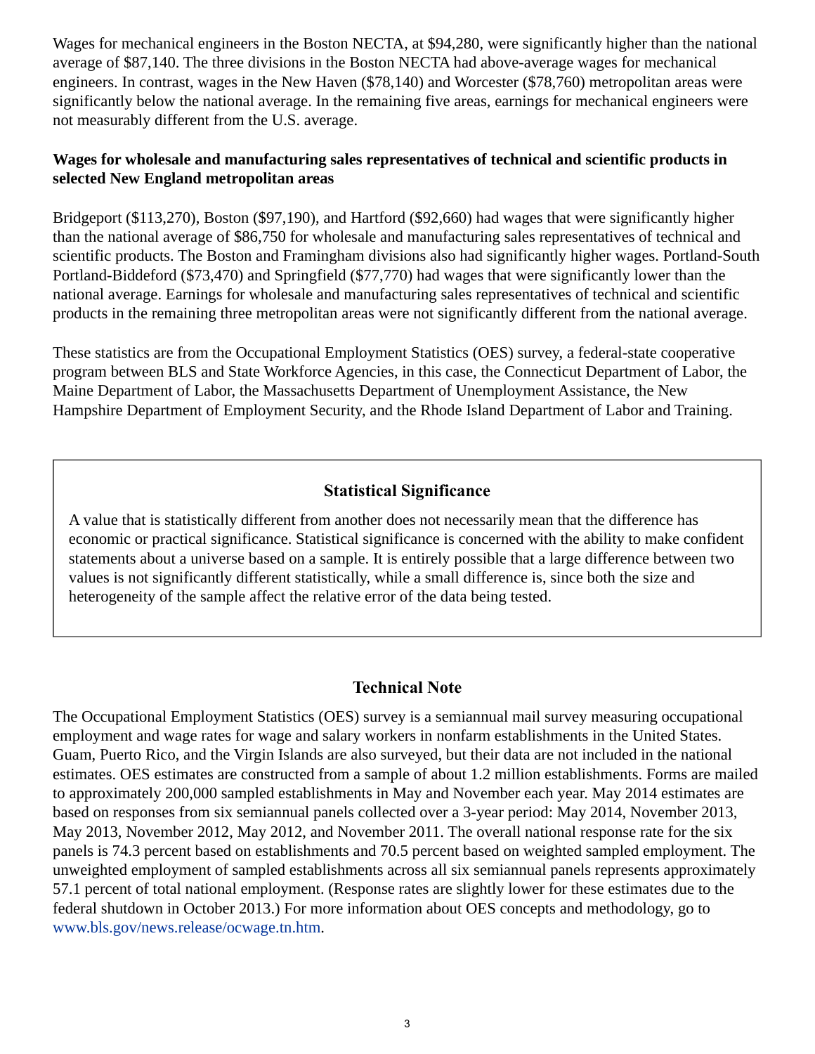Wages for mechanical engineers in the Boston NECTA, at \$94,280, were significantly higher than the national average of \$87,140. The three divisions in the Boston NECTA had above-average wages for mechanical engineers. In contrast, wages in the New Haven (\$78,140) and Worcester (\$78,760) metropolitan areas were significantly below the national average. In the remaining five areas, earnings for mechanical engineers were not measurably different from the U.S. average.

## **Wages for wholesale and manufacturing sales representatives of technical and scientific products in selected New England metropolitan areas**

Bridgeport (\$113,270), Boston (\$97,190), and Hartford (\$92,660) had wages that were significantly higher than the national average of \$86,750 for wholesale and manufacturing sales representatives of technical and scientific products. The Boston and Framingham divisions also had significantly higher wages. Portland-South Portland-Biddeford (\$73,470) and Springfield (\$77,770) had wages that were significantly lower than the national average. Earnings for wholesale and manufacturing sales representatives of technical and scientific products in the remaining three metropolitan areas were not significantly different from the national average.

These statistics are from the Occupational Employment Statistics (OES) survey, a federal-state cooperative program between BLS and State Workforce Agencies, in this case, the Connecticut Department of Labor, the Maine Department of Labor, the Massachusetts Department of Unemployment Assistance, the New Hampshire Department of Employment Security, and the Rhode Island Department of Labor and Training.

# **Statistical Significance**

A value that is statistically different from another does not necessarily mean that the difference has economic or practical significance. Statistical significance is concerned with the ability to make confident statements about a universe based on a sample. It is entirely possible that a large difference between two values is not significantly different statistically, while a small difference is, since both the size and heterogeneity of the sample affect the relative error of the data being tested.

# **Technical Note**

The Occupational Employment Statistics (OES) survey is a semiannual mail survey measuring occupational employment and wage rates for wage and salary workers in nonfarm establishments in the United States. Guam, Puerto Rico, and the Virgin Islands are also surveyed, but their data are not included in the national estimates. OES estimates are constructed from a sample of about 1.2 million establishments. Forms are mailed to approximately 200,000 sampled establishments in May and November each year. May 2014 estimates are based on responses from six semiannual panels collected over a 3-year period: May 2014, November 2013, May 2013, November 2012, May 2012, and November 2011. The overall national response rate for the six panels is 74.3 percent based on establishments and 70.5 percent based on weighted sampled employment. The unweighted employment of sampled establishments across all six semiannual panels represents approximately 57.1 percent of total national employment. (Response rates are slightly lower for these estimates due to the federal shutdown in October 2013.) For more information about OES concepts and methodology, go to [www.bls.gov/news.release/ocwage.tn.htm](https://www.bls.gov/news.release/ocwage.tn.htm).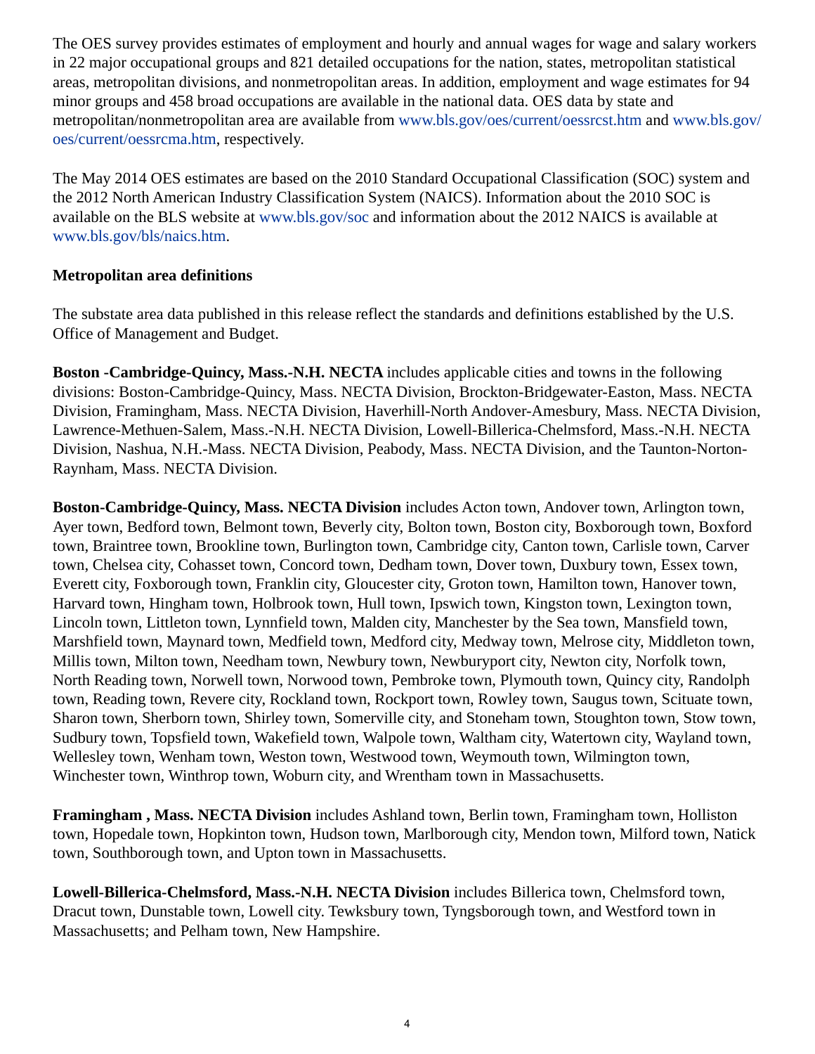The OES survey provides estimates of employment and hourly and annual wages for wage and salary workers in 22 major occupational groups and 821 detailed occupations for the nation, states, metropolitan statistical areas, metropolitan divisions, and nonmetropolitan areas. In addition, employment and wage estimates for 94 minor groups and 458 broad occupations are available in the national data. OES data by state and metropolitan/nonmetropolitan area are available from [www.bls.gov/oes/current/oessrcst.htm](https://www.bls.gov/oes/current/oessrcst.htm) and [www.bls.gov/](https://www.bls.gov/oes/current/oessrcma.htm) [oes/current/oessrcma.htm,](https://www.bls.gov/oes/current/oessrcma.htm) respectively.

The May 2014 OES estimates are based on the 2010 Standard Occupational Classification (SOC) system and the 2012 North American Industry Classification System (NAICS). Information about the 2010 SOC is available on the BLS website at [www.bls.gov/soc](https://www.bls.gov/soc) and information about the 2012 NAICS is available at [www.bls.gov/bls/naics.htm.](https://www.bls.gov/bls/naics.htm)

### **Metropolitan area definitions**

The substate area data published in this release reflect the standards and definitions established by the U.S. Office of Management and Budget.

**Boston -Cambridge-Quincy, Mass.-N.H. NECTA** includes applicable cities and towns in the following divisions: Boston-Cambridge-Quincy, Mass. NECTA Division, Brockton-Bridgewater-Easton, Mass. NECTA Division, Framingham, Mass. NECTA Division, Haverhill-North Andover-Amesbury, Mass. NECTA Division, Lawrence-Methuen-Salem, Mass.-N.H. NECTA Division, Lowell-Billerica-Chelmsford, Mass.-N.H. NECTA Division, Nashua, N.H.-Mass. NECTA Division, Peabody, Mass. NECTA Division, and the Taunton-Norton-Raynham, Mass. NECTA Division.

**Boston-Cambridge-Quincy, Mass. NECTA Division** includes Acton town, Andover town, Arlington town, Ayer town, Bedford town, Belmont town, Beverly city, Bolton town, Boston city, Boxborough town, Boxford town, Braintree town, Brookline town, Burlington town, Cambridge city, Canton town, Carlisle town, Carver town, Chelsea city, Cohasset town, Concord town, Dedham town, Dover town, Duxbury town, Essex town, Everett city, Foxborough town, Franklin city, Gloucester city, Groton town, Hamilton town, Hanover town, Harvard town, Hingham town, Holbrook town, Hull town, Ipswich town, Kingston town, Lexington town, Lincoln town, Littleton town, Lynnfield town, Malden city, Manchester by the Sea town, Mansfield town, Marshfield town, Maynard town, Medfield town, Medford city, Medway town, Melrose city, Middleton town, Millis town, Milton town, Needham town, Newbury town, Newburyport city, Newton city, Norfolk town, North Reading town, Norwell town, Norwood town, Pembroke town, Plymouth town, Quincy city, Randolph town, Reading town, Revere city, Rockland town, Rockport town, Rowley town, Saugus town, Scituate town, Sharon town, Sherborn town, Shirley town, Somerville city, and Stoneham town, Stoughton town, Stow town, Sudbury town, Topsfield town, Wakefield town, Walpole town, Waltham city, Watertown city, Wayland town, Wellesley town, Wenham town, Weston town, Westwood town, Weymouth town, Wilmington town, Winchester town, Winthrop town, Woburn city, and Wrentham town in Massachusetts.

**Framingham , Mass. NECTA Division** includes Ashland town, Berlin town, Framingham town, Holliston town, Hopedale town, Hopkinton town, Hudson town, Marlborough city, Mendon town, Milford town, Natick town, Southborough town, and Upton town in Massachusetts.

**Lowell-Billerica-Chelmsford, Mass.-N.H. NECTA Division** includes Billerica town, Chelmsford town, Dracut town, Dunstable town, Lowell city. Tewksbury town, Tyngsborough town, and Westford town in Massachusetts; and Pelham town, New Hampshire.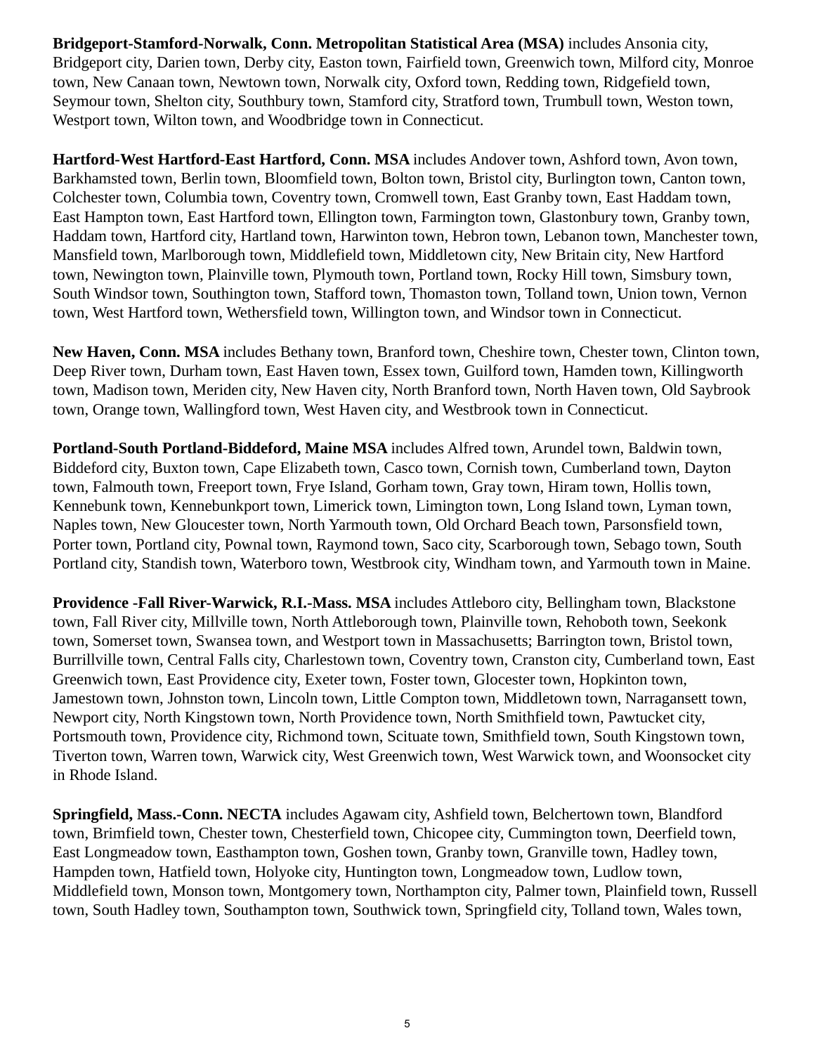**Bridgeport-Stamford-Norwalk, Conn. Metropolitan Statistical Area (MSA)** includes Ansonia city, Bridgeport city, Darien town, Derby city, Easton town, Fairfield town, Greenwich town, Milford city, Monroe town, New Canaan town, Newtown town, Norwalk city, Oxford town, Redding town, Ridgefield town, Seymour town, Shelton city, Southbury town, Stamford city, Stratford town, Trumbull town, Weston town, Westport town, Wilton town, and Woodbridge town in Connecticut.

**Hartford-West Hartford-East Hartford, Conn. MSA** includes Andover town, Ashford town, Avon town, Barkhamsted town, Berlin town, Bloomfield town, Bolton town, Bristol city, Burlington town, Canton town, Colchester town, Columbia town, Coventry town, Cromwell town, East Granby town, East Haddam town, East Hampton town, East Hartford town, Ellington town, Farmington town, Glastonbury town, Granby town, Haddam town, Hartford city, Hartland town, Harwinton town, Hebron town, Lebanon town, Manchester town, Mansfield town, Marlborough town, Middlefield town, Middletown city, New Britain city, New Hartford town, Newington town, Plainville town, Plymouth town, Portland town, Rocky Hill town, Simsbury town, South Windsor town, Southington town, Stafford town, Thomaston town, Tolland town, Union town, Vernon town, West Hartford town, Wethersfield town, Willington town, and Windsor town in Connecticut.

**New Haven, Conn. MSA** includes Bethany town, Branford town, Cheshire town, Chester town, Clinton town, Deep River town, Durham town, East Haven town, Essex town, Guilford town, Hamden town, Killingworth town, Madison town, Meriden city, New Haven city, North Branford town, North Haven town, Old Saybrook town, Orange town, Wallingford town, West Haven city, and Westbrook town in Connecticut.

**Portland-South Portland-Biddeford, Maine MSA** includes Alfred town, Arundel town, Baldwin town, Biddeford city, Buxton town, Cape Elizabeth town, Casco town, Cornish town, Cumberland town, Dayton town, Falmouth town, Freeport town, Frye Island, Gorham town, Gray town, Hiram town, Hollis town, Kennebunk town, Kennebunkport town, Limerick town, Limington town, Long Island town, Lyman town, Naples town, New Gloucester town, North Yarmouth town, Old Orchard Beach town, Parsonsfield town, Porter town, Portland city, Pownal town, Raymond town, Saco city, Scarborough town, Sebago town, South Portland city, Standish town, Waterboro town, Westbrook city, Windham town, and Yarmouth town in Maine.

**Providence -Fall River-Warwick, R.I.-Mass. MSA** includes Attleboro city, Bellingham town, Blackstone town, Fall River city, Millville town, North Attleborough town, Plainville town, Rehoboth town, Seekonk town, Somerset town, Swansea town, and Westport town in Massachusetts; Barrington town, Bristol town, Burrillville town, Central Falls city, Charlestown town, Coventry town, Cranston city, Cumberland town, East Greenwich town, East Providence city, Exeter town, Foster town, Glocester town, Hopkinton town, Jamestown town, Johnston town, Lincoln town, Little Compton town, Middletown town, Narragansett town, Newport city, North Kingstown town, North Providence town, North Smithfield town, Pawtucket city, Portsmouth town, Providence city, Richmond town, Scituate town, Smithfield town, South Kingstown town, Tiverton town, Warren town, Warwick city, West Greenwich town, West Warwick town, and Woonsocket city in Rhode Island.

**Springfield, Mass.-Conn. NECTA** includes Agawam city, Ashfield town, Belchertown town, Blandford town, Brimfield town, Chester town, Chesterfield town, Chicopee city, Cummington town, Deerfield town, East Longmeadow town, Easthampton town, Goshen town, Granby town, Granville town, Hadley town, Hampden town, Hatfield town, Holyoke city, Huntington town, Longmeadow town, Ludlow town, Middlefield town, Monson town, Montgomery town, Northampton city, Palmer town, Plainfield town, Russell town, South Hadley town, Southampton town, Southwick town, Springfield city, Tolland town, Wales town,